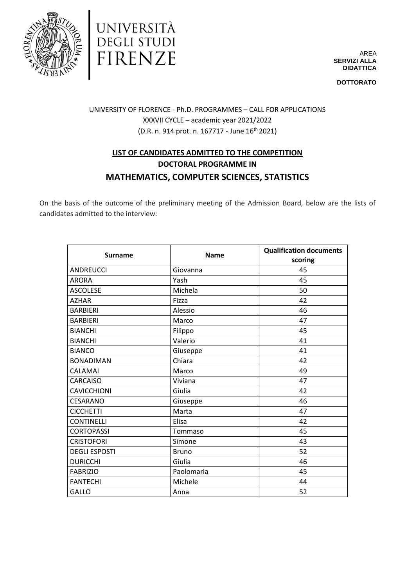



AREA **SERVIZI ALLA DIDATTICA**

**DOTTORATO**

# UNIVERSITY OF FLORENCE - Ph.D. PROGRAMMES – CALL FOR APPLICATIONS XXXVII CYCLE – academic year 2021/2022  $(D.R. n. 914 \text{ prot. } n. 167717 - \text{June } 16^{\text{th}} 2021)$

# **LIST OF CANDIDATES ADMITTED TO THE COMPETITION DOCTORAL PROGRAMME IN MATHEMATICS, COMPUTER SCIENCES, STATISTICS**

On the basis of the outcome of the preliminary meeting of the Admission Board, below are the lists of candidates admitted to the interview:

| <b>Surname</b>       | <b>Name</b>  | <b>Qualification documents</b><br>scoring |
|----------------------|--------------|-------------------------------------------|
| <b>ANDREUCCI</b>     | Giovanna     | 45                                        |
| <b>ARORA</b>         | Yash         | 45                                        |
| <b>ASCOLESE</b>      | Michela      | 50                                        |
| <b>AZHAR</b>         | Fizza        | 42                                        |
| <b>BARBIERI</b>      | Alessio      | 46                                        |
| <b>BARBIERI</b>      | Marco        | 47                                        |
| <b>BIANCHI</b>       | Filippo      | 45                                        |
| <b>BIANCHI</b>       | Valerio      | 41                                        |
| <b>BIANCO</b>        | Giuseppe     | 41                                        |
| <b>BONADIMAN</b>     | Chiara       | 42                                        |
| CALAMAI              | Marco        | 49                                        |
| <b>CARCAISO</b>      | Viviana      | 47                                        |
| <b>CAVICCHIONI</b>   | Giulia       | 42                                        |
| CESARANO             | Giuseppe     | 46                                        |
| <b>CICCHETTI</b>     | Marta        | 47                                        |
| <b>CONTINELLI</b>    | Elisa        | 42                                        |
| <b>CORTOPASSI</b>    | Tommaso      | 45                                        |
| <b>CRISTOFORI</b>    | Simone       | 43                                        |
| <b>DEGLI ESPOSTI</b> | <b>Bruno</b> | 52                                        |
| <b>DURICCHI</b>      | Giulia       | 46                                        |
| <b>FABRIZIO</b>      | Paolomaria   | 45                                        |
| <b>FANTECHI</b>      | Michele      | 44                                        |
| GALLO                | Anna         | 52                                        |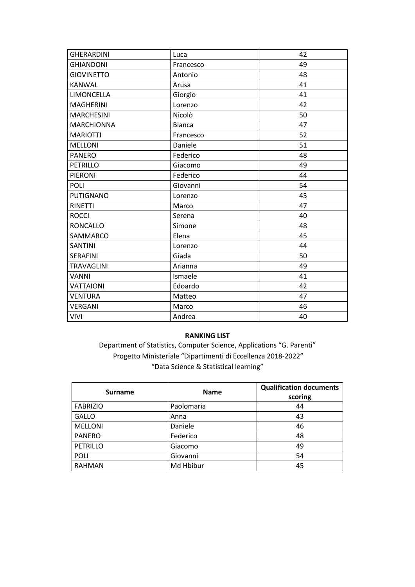| <b>GHERARDINI</b> | Luca          | 42 |
|-------------------|---------------|----|
| <b>GHIANDONI</b>  | Francesco     | 49 |
| <b>GIOVINETTO</b> | Antonio       | 48 |
| <b>KANWAL</b>     | Arusa         | 41 |
| LIMONCELLA        | Giorgio       | 41 |
| <b>MAGHERINI</b>  | Lorenzo       | 42 |
| <b>MARCHESINI</b> | Nicolò        | 50 |
| <b>MARCHIONNA</b> | <b>Bianca</b> | 47 |
| <b>MARIOTTI</b>   | Francesco     | 52 |
| <b>MELLONI</b>    | Daniele       | 51 |
| <b>PANERO</b>     | Federico      | 48 |
| <b>PETRILLO</b>   | Giacomo       | 49 |
| <b>PIERONI</b>    | Federico      | 44 |
| POLI              | Giovanni      | 54 |
| <b>PUTIGNANO</b>  | Lorenzo       | 45 |
| <b>RINETTI</b>    | Marco         | 47 |
| <b>ROCCI</b>      | Serena        | 40 |
| <b>RONCALLO</b>   | Simone        | 48 |
| SAMMARCO          | Elena         | 45 |
| <b>SANTINI</b>    | Lorenzo       | 44 |
| <b>SERAFINI</b>   | Giada         | 50 |
| <b>TRAVAGLINI</b> | Arianna       | 49 |
| <b>VANNI</b>      | Ismaele       | 41 |
| <b>VATTAIONI</b>  | Edoardo       | 42 |
| <b>VENTURA</b>    | Matteo        | 47 |
| <b>VERGANI</b>    | Marco         | 46 |
| <b>VIVI</b>       | Andrea        | 40 |

### **RANKING LIST**

Department of Statistics, Computer Science, Applications "G. Parenti" Progetto Ministeriale "Dipartimenti di Eccellenza 2018-2022" "Data Science & Statistical learning"

| <b>Surname</b>  | <b>Name</b> | <b>Qualification documents</b><br>scoring |
|-----------------|-------------|-------------------------------------------|
| <b>FABRIZIO</b> | Paolomaria  | 44                                        |
| <b>GALLO</b>    | Anna        | 43                                        |
| <b>MELLONI</b>  | Daniele     | 46                                        |
| <b>PANERO</b>   | Federico    | 48                                        |
| <b>PETRILLO</b> | Giacomo     | 49                                        |
| <b>POLI</b>     | Giovanni    | 54                                        |
| <b>RAHMAN</b>   | Md Hbibur   | 45                                        |